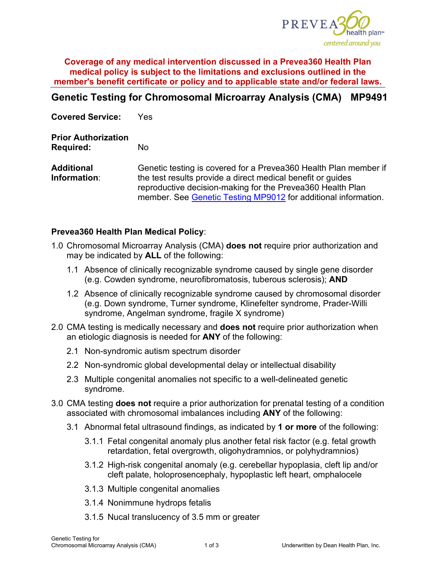

**Coverage of any medical intervention discussed in a Prevea360 Health Plan medical policy is subject to the limitations and exclusions outlined in the member's benefit certificate or policy and to applicable state and/or federal laws.**

# **Genetic Testing for Chromosomal Microarray Analysis (CMA) MP9491**

**Covered Service:** Yes

**Prior Authorization Required:** No

**Additional Information**: Genetic testing is covered for a Prevea360 Health Plan member if the test results provide a direct medical benefit or guides reproductive decision-making for the Prevea360 Health Plan member. See [Genetic Testing MP9012](https://www.prevea360.com/DocumentLibrary/PDF/Medical-Policies/Genetic-Testing-9012) for additional information.

# **Prevea360 Health Plan Medical Policy**:

- 1.0 Chromosomal Microarray Analysis (CMA) **does not** require prior authorization and may be indicated by **ALL** of the following:
	- 1.1 Absence of clinically recognizable syndrome caused by single gene disorder (e.g. Cowden syndrome, neurofibromatosis, tuberous sclerosis); **AND**
	- 1.2 Absence of clinically recognizable syndrome caused by chromosomal disorder (e.g. Down syndrome, Turner syndrome, Klinefelter syndrome, Prader-Willi syndrome, Angelman syndrome, fragile X syndrome)
- 2.0 CMA testing is medically necessary and **does not** require prior authorization when an etiologic diagnosis is needed for **ANY** of the following:
	- 2.1 Non-syndromic autism spectrum disorder
	- 2.2 Non-syndromic global developmental delay or intellectual disability
	- 2.3 Multiple congenital anomalies not specific to a well-delineated genetic syndrome.
- 3.0 CMA testing **does not** require a prior authorization for prenatal testing of a condition associated with chromosomal imbalances including **ANY** of the following:
	- 3.1 Abnormal fetal ultrasound findings, as indicated by **1 or more** of the following:
		- 3.1.1 Fetal congenital anomaly plus another fetal risk factor (e.g. fetal growth retardation, fetal overgrowth, oligohydramnios, or polyhydramnios)
		- 3.1.2 High-risk congenital anomaly (e.g. cerebellar hypoplasia, cleft lip and/or cleft palate, holoprosencephaly, hypoplastic left heart, omphalocele
		- 3.1.3 Multiple congenital anomalies
		- 3.1.4 Nonimmune hydrops fetalis
		- 3.1.5 Nucal translucency of 3.5 mm or greater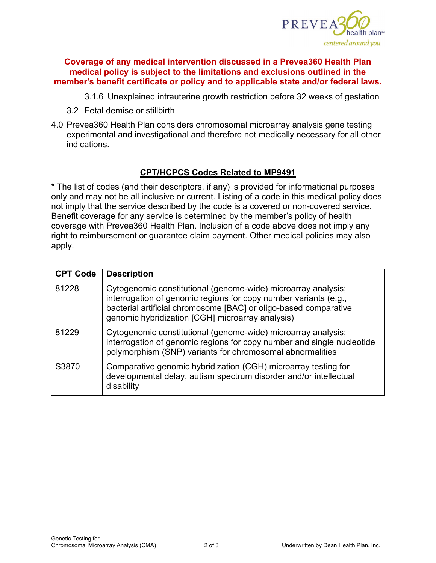

# **Coverage of any medical intervention discussed in a Prevea360 Health Plan medical policy is subject to the limitations and exclusions outlined in the member's benefit certificate or policy and to applicable state and/or federal laws.**

- 3.1.6 Unexplained intrauterine growth restriction before 32 weeks of gestation
- 3.2 Fetal demise or stillbirth
- 4.0 Prevea360 Health Plan considers chromosomal microarray analysis gene testing experimental and investigational and therefore not medically necessary for all other indications.

# **CPT/HCPCS Codes Related to MP9491**

\* The list of codes (and their descriptors, if any) is provided for informational purposes only and may not be all inclusive or current. Listing of a code in this medical policy does not imply that the service described by the code is a covered or non-covered service. Benefit coverage for any service is determined by the member's policy of health coverage with Prevea360 Health Plan. Inclusion of a code above does not imply any right to reimbursement or guarantee claim payment. Other medical policies may also apply.

| <b>CPT Code</b> | <b>Description</b>                                                                                                                                                                                                                                        |
|-----------------|-----------------------------------------------------------------------------------------------------------------------------------------------------------------------------------------------------------------------------------------------------------|
| 81228           | Cytogenomic constitutional (genome-wide) microarray analysis;<br>interrogation of genomic regions for copy number variants (e.g.,<br>bacterial artificial chromosome [BAC] or oligo-based comparative<br>genomic hybridization [CGH] microarray analysis) |
| 81229           | Cytogenomic constitutional (genome-wide) microarray analysis;<br>interrogation of genomic regions for copy number and single nucleotide<br>polymorphism (SNP) variants for chromosomal abnormalities                                                      |
| S3870           | Comparative genomic hybridization (CGH) microarray testing for<br>developmental delay, autism spectrum disorder and/or intellectual<br>disability                                                                                                         |